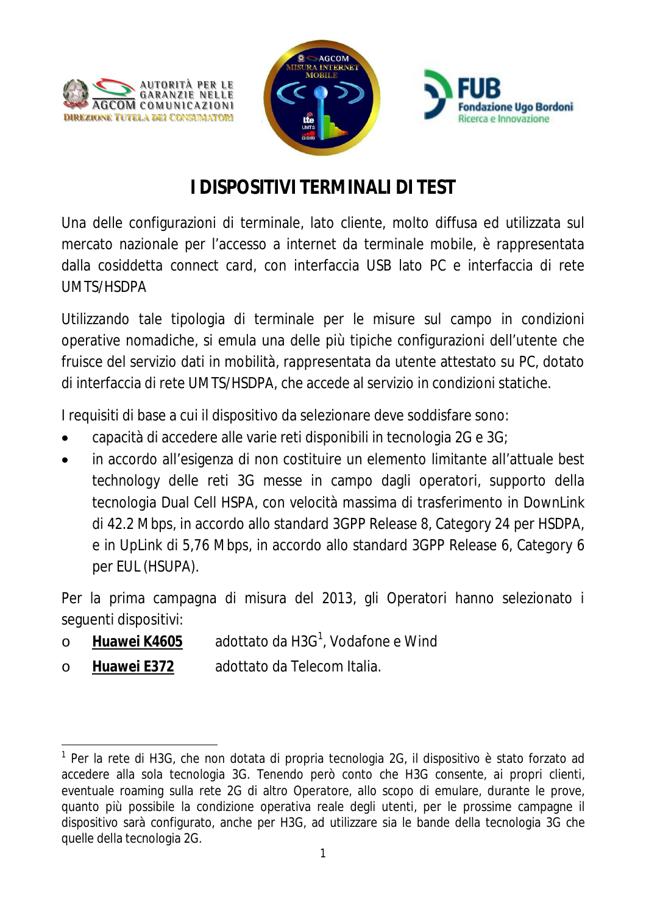



# **I DISPOSITIVI TERMINALI DI TEST**

Una delle configurazioni di terminale, lato cliente, molto diffusa ed utilizzata sul mercato nazionale per l'accesso a internet da terminale mobile, è rappresentata dalla cosiddetta *connect card,* con interfaccia USB lato PC e interfaccia di rete UMTS/HSDPA

Utilizzando tale tipologia di terminale per le misure sul campo in condizioni operative nomadiche, si emula una delle più tipiche configurazioni dell'utente che fruisce del servizio dati in mobilità, rappresentata da utente attestato su PC, dotato di interfaccia di rete UMTS/HSDPA, che accede al servizio in condizioni statiche.

I requisiti di base a cui il dispositivo da selezionare deve soddisfare sono:

- capacità di accedere alle varie reti disponibili in tecnologia 2G e 3G;
- in accordo all'esigenza di non costituire un elemento limitante all'attuale *best technology* delle reti 3G messe in campo dagli operatori, supporto della tecnologia Dual Cell HSPA, con velocità massima di trasferimento in DownLink di 42.2 Mbps, in accordo allo standard 3GPP Release 8, Category 24 per HSDPA, e in UpLink di 5,76 Mbps, in accordo allo standard 3GPP Release 6, Category 6 per EUL (HSUPA).

Per la prima campagna di misura del 2013, gli Operatori hanno selezionato i seguenti dispositivi:

- o **Huawei K4605** adottato da H3G<sup>1</sup> , Vodafone e Wind
- o **Huawei E372** adottato da Telecom Italia.

 $\overline{a}$ <sup>1</sup> Per la rete di H3G, che non dotata di propria tecnologia 2G, il dispositivo è stato forzato ad accedere alla sola tecnologia 3G. Tenendo però conto che H3G consente, ai propri clienti, eventuale roaming sulla rete 2G di altro Operatore, allo scopo di emulare, durante le prove, quanto più possibile la condizione operativa reale degli utenti, per le prossime campagne il dispositivo sarà configurato, anche per H3G, ad utilizzare sia le bande della tecnologia 3G che quelle della tecnologia 2G.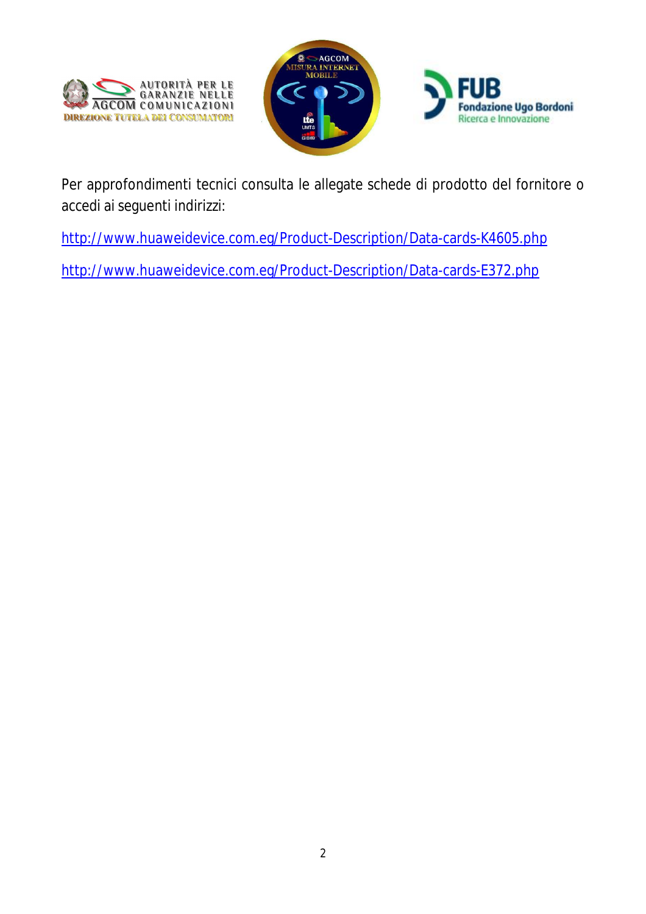



Per approfondimenti tecnici consulta le allegate schede di prodotto del fornitore o accedi ai seguenti indirizzi:

http://www.huaweidevice.com.eg/Product-Description/Data-cards-K4605.php

http://www.huaweidevice.com.eg/Product-Description/Data-cards-E372.php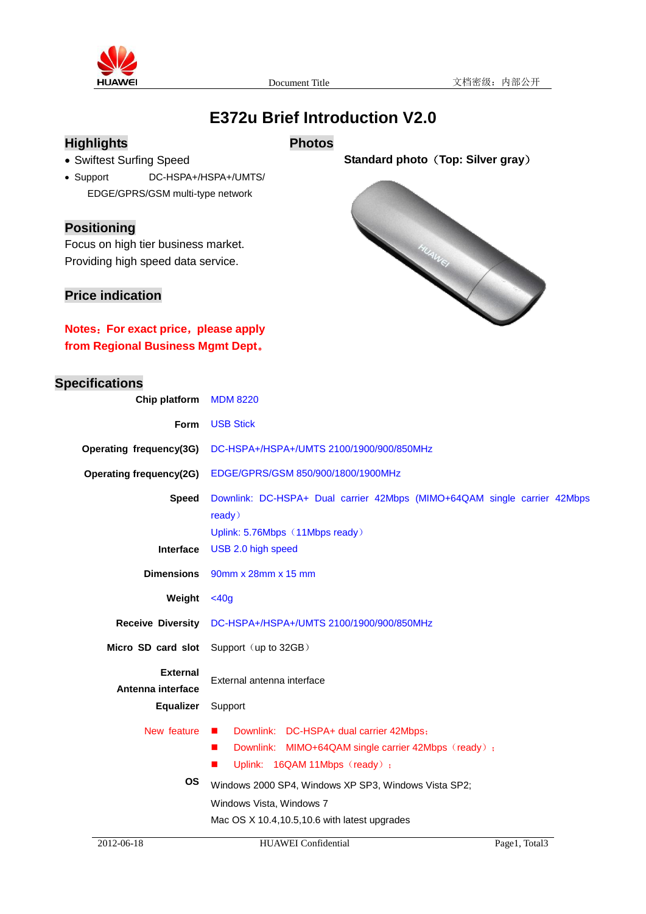

# **E372u Brief Introduction V2.0**

## **Highlights**

### **Photos**

- Swiftest Surfing Speed
- Support DC-HSPA+/HSPA+/UMTS/ EDGE/GPRS/GSM multi-type network

#### **Positioning**

Focus on high tier business market. Providing high speed data service.

### **Price indication**

**Notes**:**For exact price**,**please apply from Regional Business Mgmt Dept**。

**Chip platform** MDM 8220

### **Specifications**



**Standard photo**(**Top: Silver gray**)

| <b>Form</b>                          | <b>USB Stick</b>                                                                                                                                                                                                                                                                                                                 |  |  |
|--------------------------------------|----------------------------------------------------------------------------------------------------------------------------------------------------------------------------------------------------------------------------------------------------------------------------------------------------------------------------------|--|--|
| Operating frequency(3G)              | DC-HSPA+/HSPA+/UMTS 2100/1900/900/850MHz                                                                                                                                                                                                                                                                                         |  |  |
| <b>Operating frequency(2G)</b>       | EDGE/GPRS/GSM 850/900/1800/1900MHz                                                                                                                                                                                                                                                                                               |  |  |
| <b>Speed</b>                         | Downlink: DC-HSPA+ Dual carrier 42Mbps (MIMO+64QAM single carrier 42Mbps<br>ready)<br>Uplink: 5.76Mbps (11Mbps ready)                                                                                                                                                                                                            |  |  |
| <b>Interface</b>                     | USB 2.0 high speed                                                                                                                                                                                                                                                                                                               |  |  |
| <b>Dimensions</b>                    | 90mm x 28mm x 15 mm                                                                                                                                                                                                                                                                                                              |  |  |
| Weight                               | $<$ 40g                                                                                                                                                                                                                                                                                                                          |  |  |
| <b>Receive Diversity</b>             | DC-HSPA+/HSPA+/UMTS 2100/1900/900/850MHz                                                                                                                                                                                                                                                                                         |  |  |
| Micro SD card slot                   | Support (up to 32GB)                                                                                                                                                                                                                                                                                                             |  |  |
| <b>External</b><br>Antenna interface | External antenna interface                                                                                                                                                                                                                                                                                                       |  |  |
| <b>Equalizer</b>                     | Support                                                                                                                                                                                                                                                                                                                          |  |  |
| New feature<br><b>OS</b>             | Downlink: DC-HSPA+ dual carrier 42Mbps;<br>$\mathcal{L}_{\mathcal{A}}$<br>Downlink:<br>MIMO+64QAM single carrier 42Mbps (ready);<br>$\blacksquare$<br>Uplink: 16QAM 11Mbps (ready);<br>п<br>Windows 2000 SP4, Windows XP SP3, Windows Vista SP2;<br>Windows Vista, Windows 7<br>Mac OS $X$ 10.4, 10.5, 10.6 with latest upgrades |  |  |
|                                      |                                                                                                                                                                                                                                                                                                                                  |  |  |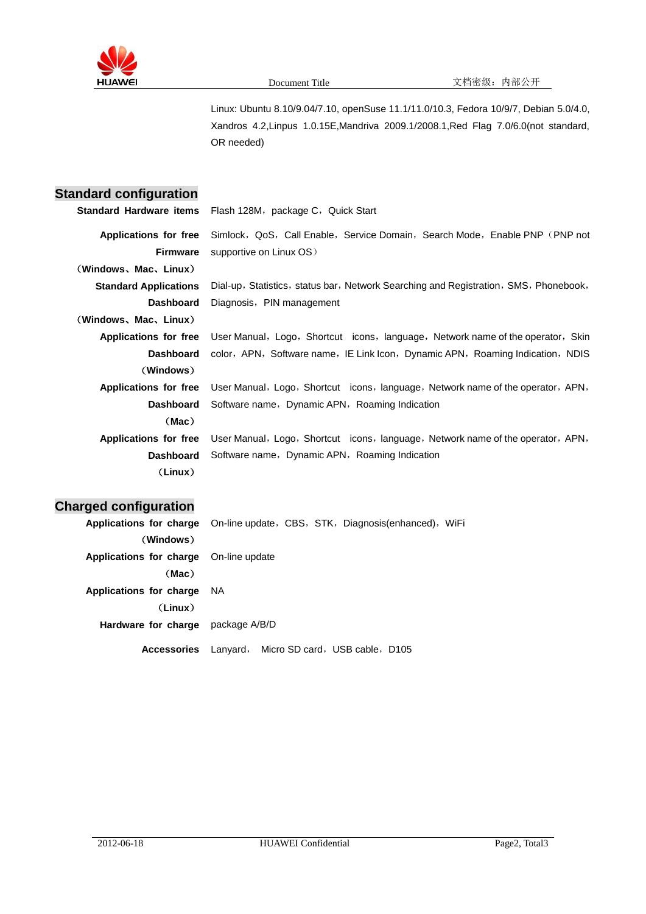

Linux: Ubuntu 8.10/9.04/7.10, openSuse 11.1/11.0/10.3, Fedora 10/9/7, Debian 5.0/4.0, Xandros 4.2,Linpus 1.0.15E,Mandriva 2009.1/2008.1,Red Flag 7.0/6.0(not standard, OR needed)

## **Standard configuration**

|                                          | <b>Standard Hardware items</b> Flash 128M, package C, Quick Start                                      |
|------------------------------------------|--------------------------------------------------------------------------------------------------------|
| Applications for free<br><b>Firmware</b> | Simlock, QoS, Call Enable, Service Domain, Search Mode, Enable PNP (PNP not<br>supportive on Linux OS) |
|                                          |                                                                                                        |
| (Windows、Mac、Linux)                      |                                                                                                        |
| <b>Standard Applications</b>             | Dial-up, Statistics, status bar, Network Searching and Registration, SMS, Phonebook,                   |
| <b>Dashboard</b>                         | Diagnosis, PIN management                                                                              |
| (Windows、Mac、Linux)                      |                                                                                                        |
| Applications for free                    | User Manual, Logo, Shortcut icons, language, Network name of the operator, Skin                        |
| <b>Dashboard</b>                         | color,APN,Software name,IE Link Icon,Dynamic APN,Roaming Indication,NDIS                               |
| (Windows)                                |                                                                                                        |
| Applications for free                    | User Manual, Logo, Shortcut icons, language, Network name of the operator, APN,                        |
| <b>Dashboard</b>                         | Software name, Dynamic APN, Roaming Indication                                                         |
| (Mac)                                    |                                                                                                        |
| Applications for free                    | User Manual, Logo, Shortcut icons, language, Network name of the operator, APN,                        |
| <b>Dashboard</b>                         | Software name, Dynamic APN, Roaming Indication                                                         |
| (Linux)                                  |                                                                                                        |

## **Charged configuration**

| Applications for charge On-line update, CBS, STK, Diagnosis(enhanced), WiFi |      |                                         |  |
|-----------------------------------------------------------------------------|------|-----------------------------------------|--|
| (Windows)                                                                   |      |                                         |  |
| <b>Applications for charge</b> On-line update                               |      |                                         |  |
| (Mac)                                                                       |      |                                         |  |
| Applications for charge                                                     | - NA |                                         |  |
| (Linux)                                                                     |      |                                         |  |
| Hardware for charge package A/B/D                                           |      |                                         |  |
| <b>Accessories</b>                                                          |      | Lanyard, Micro SD card, USB cable, D105 |  |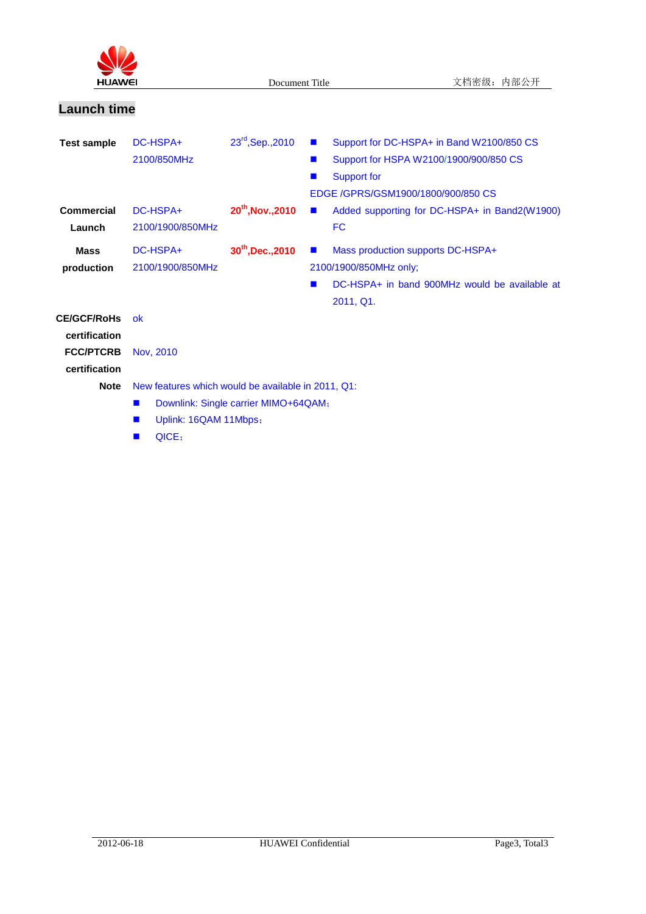

# **Launch time**

| <b>Test sample</b>                                 | DC-HSPA+<br>2100/850MHz                            | $23^{rd}$ , Sep., 2010               | Support for DC-HSPA+ in Band W2100/850 CS<br>$\mathbf{r}$<br>Support for HSPA W2100/1900/900/850 CS<br><b>COL</b>                           |
|----------------------------------------------------|----------------------------------------------------|--------------------------------------|---------------------------------------------------------------------------------------------------------------------------------------------|
|                                                    |                                                    |                                      | Support for<br>EDGE /GPRS/GSM1900/1800/900/850 CS                                                                                           |
| Commercial<br>Launch                               | DC-HSPA+<br>2100/1900/850MHz                       | $20^{th}$ , Nov., 2010               | Added supporting for DC-HSPA+ in Band2(W1900)<br>$\blacksquare$<br><b>FC</b>                                                                |
| <b>Mass</b><br>production                          | DC-HSPA+<br>2100/1900/850MHz                       | $30^{th}$ , Dec., 2010               | Mass production supports DC-HSPA+<br>$\blacksquare$<br>2100/1900/850MHz only;<br>DC-HSPA+ in band 900MHz would be available at<br>2011, Q1. |
| <b>CE/GCF/RoHs</b>                                 | ok                                                 |                                      |                                                                                                                                             |
| certification<br><b>FCC/PTCRB</b><br>certification | Nov, 2010                                          |                                      |                                                                                                                                             |
| <b>Note</b>                                        | New features which would be available in 2011, Q1: |                                      |                                                                                                                                             |
|                                                    | $\blacksquare$                                     | Downlink: Single carrier MIMO+64QAM; |                                                                                                                                             |
|                                                    | Uplink: 16QAM 11Mbps;<br>ш                         |                                      |                                                                                                                                             |
|                                                    | QICE;                                              |                                      |                                                                                                                                             |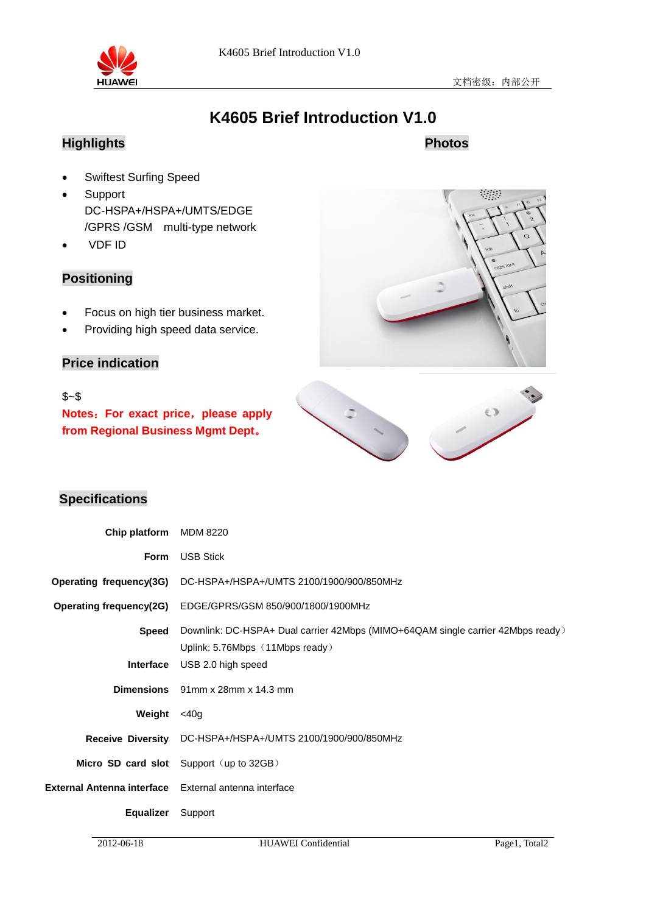

# **K4605 Brief Introduction V1.0**

# **Highlights**

## **Photos**

- **•** Swiftest Surfing Speed
- Support DC-HSPA+/HSPA+/UMTS/EDGE /GPRS /GSM multi-type network
- VDF ID

## **Positioning**

- **•** Focus on high tier business market.
- Providing high speed data service.

## **Price indication**

#### \$~\$

**Notes**:**For exact price**,**please apply from Regional Business Mgmt Dept**。





### **Specifications**

| Chip platform                                         | MDM 8220                                                                                                           |
|-------------------------------------------------------|--------------------------------------------------------------------------------------------------------------------|
| Form                                                  | <b>USB Stick</b>                                                                                                   |
|                                                       | Operating frequency(3G) DC-HSPA+/HSPA+/UMTS 2100/1900/900/850MHz                                                   |
|                                                       | Operating frequency(2G) EDGE/GPRS/GSM 850/900/1800/1900MHz                                                         |
| Speed                                                 | Downlink: DC-HSPA+ Dual carrier 42Mbps (MIMO+64QAM single carrier 42Mbps ready)<br>Uplink: 5.76Mbps (11Mbps ready) |
| <b>Interface</b>                                      | USB 2.0 high speed                                                                                                 |
|                                                       | Dimensions 91mm x 28mm x 14.3 mm                                                                                   |
| Weight                                                | <40a                                                                                                               |
|                                                       | Receive Diversity DC-HSPA+/HSPA+/UMTS 2100/1900/900/850MHz                                                         |
|                                                       | Micro SD card slot Support (up to 32GB)                                                                            |
| External Antenna interface External antenna interface |                                                                                                                    |
| <b>Equalizer</b>                                      | Support                                                                                                            |